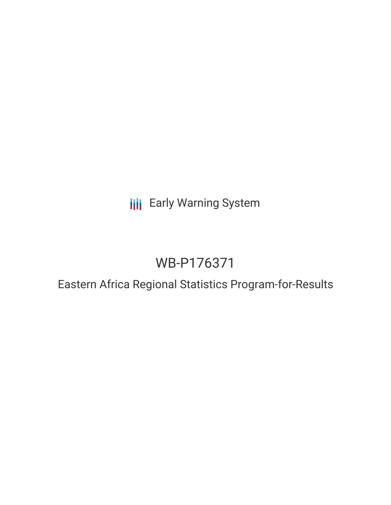**III** Early Warning System

# WB-P176371

## Eastern Africa Regional Statistics Program-for-Results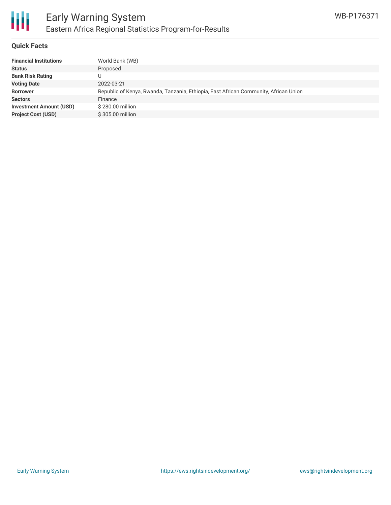

#### **Quick Facts**

冊

| World Bank (WB)                                                                      |
|--------------------------------------------------------------------------------------|
| Proposed                                                                             |
|                                                                                      |
| 2022-03-21                                                                           |
| Republic of Kenya, Rwanda, Tanzania, Ethiopia, East African Community, African Union |
| Finance                                                                              |
| \$280.00 million                                                                     |
| \$305.00 million                                                                     |
|                                                                                      |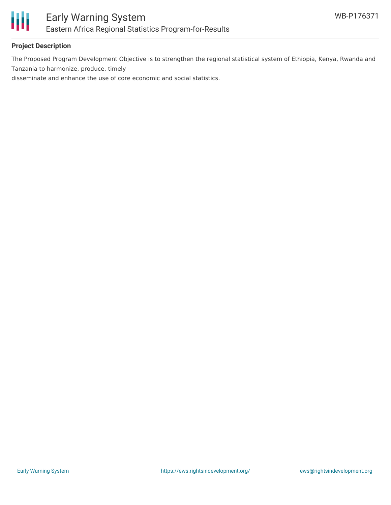

#### **Project Description**

The Proposed Program Development Objective is to strengthen the regional statistical system of Ethiopia, Kenya, Rwanda and Tanzania to harmonize, produce, timely

disseminate and enhance the use of core economic and social statistics.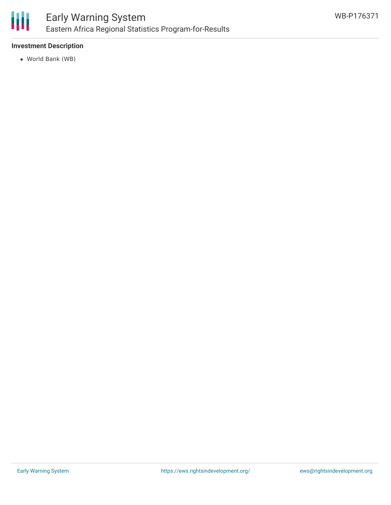

#### **Investment Description**

World Bank (WB)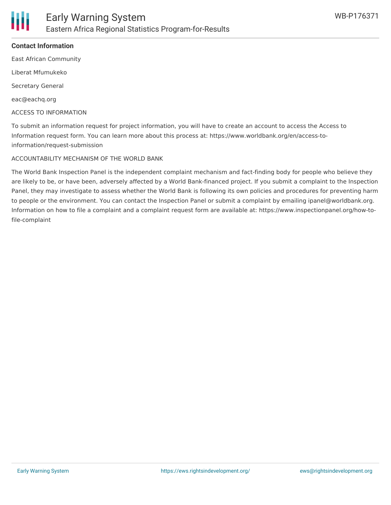

#### **Contact Information**

East African Community

Liberat Mfumukeko

Secretary General

eac@eachq.org

ACCESS TO INFORMATION

To submit an information request for project information, you will have to create an account to access the Access to Information request form. You can learn more about this process at: https://www.worldbank.org/en/access-toinformation/request-submission

#### ACCOUNTABILITY MECHANISM OF THE WORLD BANK

The World Bank Inspection Panel is the independent complaint mechanism and fact-finding body for people who believe they are likely to be, or have been, adversely affected by a World Bank-financed project. If you submit a complaint to the Inspection Panel, they may investigate to assess whether the World Bank is following its own policies and procedures for preventing harm to people or the environment. You can contact the Inspection Panel or submit a complaint by emailing ipanel@worldbank.org. Information on how to file a complaint and a complaint request form are available at: https://www.inspectionpanel.org/how-tofile-complaint